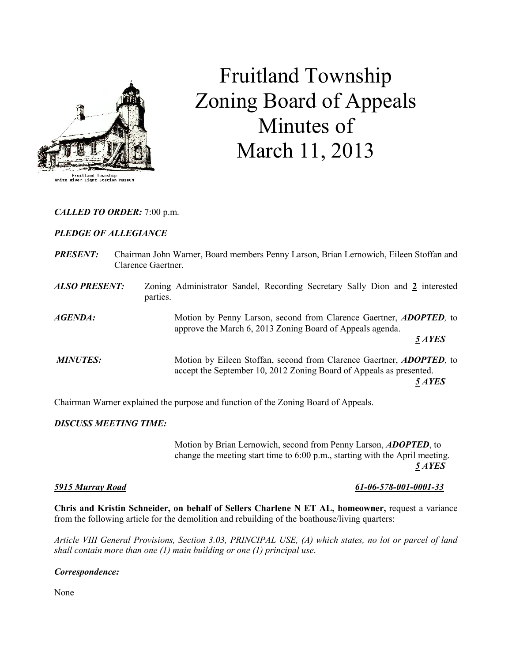

# Fruitland Township Zoning Board of Appeals Minutes of March 11, 2013

# CALLED TO ORDER: 7:00 p.m.

# PLEDGE OF ALLEGIANCE

| <b>PRESENT:</b>      | Clarence Gaertner. | Chairman John Warner, Board members Penny Larson, Brian Lernowich, Eileen Stoffan and                                                                         |
|----------------------|--------------------|---------------------------------------------------------------------------------------------------------------------------------------------------------------|
| <b>ALSO PRESENT:</b> | parties.           | Zoning Administrator Sandel, Recording Secretary Sally Dion and 2 interested                                                                                  |
| AGENDA:              |                    | Motion by Penny Larson, second from Clarence Gaertner, <b>ADOPTED</b> , to<br>approve the March 6, 2013 Zoning Board of Appeals agenda.<br>5 AYES             |
| <b>MINUTES:</b>      |                    | Motion by Eileen Stoffan, second from Clarence Gaertner, <b>ADOPTED</b> , to<br>accept the September 10, 2012 Zoning Board of Appeals as presented.<br>5 AYES |

Chairman Warner explained the purpose and function of the Zoning Board of Appeals.

# DISCUSS MEETING TIME:

 Motion by Brian Lernowich, second from Penny Larson, ADOPTED, to change the meeting start time to 6:00 p.m., starting with the April meeting.  $\frac{5 \text{ A} \text{YES}}{2 \text{ A} \text{YES}}$ 

#### 5915 Murray Road 61-06-578-001-0001-33

Chris and Kristin Schneider, on behalf of Sellers Charlene N ET AL, homeowner, request a variance from the following article for the demolition and rebuilding of the boathouse/living quarters:

Article VIII General Provisions, Section 3.03, PRINCIPAL USE, (A) which states, no lot or parcel of land shall contain more than one  $(1)$  main building or one  $(1)$  principal use.

# Correspondence:

None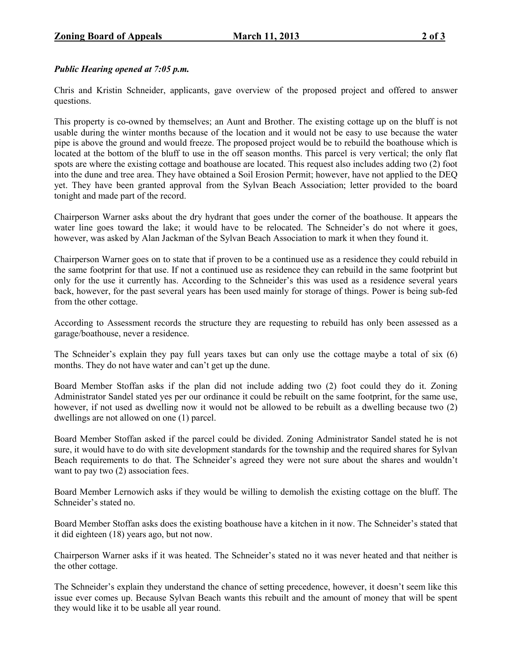# Public Hearing opened at 7:05 p.m.

Chris and Kristin Schneider, applicants, gave overview of the proposed project and offered to answer questions.

This property is co-owned by themselves; an Aunt and Brother. The existing cottage up on the bluff is not usable during the winter months because of the location and it would not be easy to use because the water pipe is above the ground and would freeze. The proposed project would be to rebuild the boathouse which is located at the bottom of the bluff to use in the off season months. This parcel is very vertical; the only flat spots are where the existing cottage and boathouse are located. This request also includes adding two (2) foot into the dune and tree area. They have obtained a Soil Erosion Permit; however, have not applied to the DEQ yet. They have been granted approval from the Sylvan Beach Association; letter provided to the board tonight and made part of the record.

Chairperson Warner asks about the dry hydrant that goes under the corner of the boathouse. It appears the water line goes toward the lake; it would have to be relocated. The Schneider's do not where it goes, however, was asked by Alan Jackman of the Sylvan Beach Association to mark it when they found it.

Chairperson Warner goes on to state that if proven to be a continued use as a residence they could rebuild in the same footprint for that use. If not a continued use as residence they can rebuild in the same footprint but only for the use it currently has. According to the Schneider's this was used as a residence several years back, however, for the past several years has been used mainly for storage of things. Power is being sub-fed from the other cottage.

According to Assessment records the structure they are requesting to rebuild has only been assessed as a garage/boathouse, never a residence.

The Schneider's explain they pay full years taxes but can only use the cottage maybe a total of six (6) months. They do not have water and can't get up the dune.

Board Member Stoffan asks if the plan did not include adding two (2) foot could they do it. Zoning Administrator Sandel stated yes per our ordinance it could be rebuilt on the same footprint, for the same use, however, if not used as dwelling now it would not be allowed to be rebuilt as a dwelling because two (2) dwellings are not allowed on one (1) parcel.

Board Member Stoffan asked if the parcel could be divided. Zoning Administrator Sandel stated he is not sure, it would have to do with site development standards for the township and the required shares for Sylvan Beach requirements to do that. The Schneider's agreed they were not sure about the shares and wouldn't want to pay two  $(2)$  association fees.

Board Member Lernowich asks if they would be willing to demolish the existing cottage on the bluff. The Schneider's stated no.

Board Member Stoffan asks does the existing boathouse have a kitchen in it now. The Schneider's stated that it did eighteen (18) years ago, but not now.

Chairperson Warner asks if it was heated. The Schneider's stated no it was never heated and that neither is the other cottage.

The Schneider's explain they understand the chance of setting precedence, however, it doesn't seem like this issue ever comes up. Because Sylvan Beach wants this rebuilt and the amount of money that will be spent they would like it to be usable all year round.